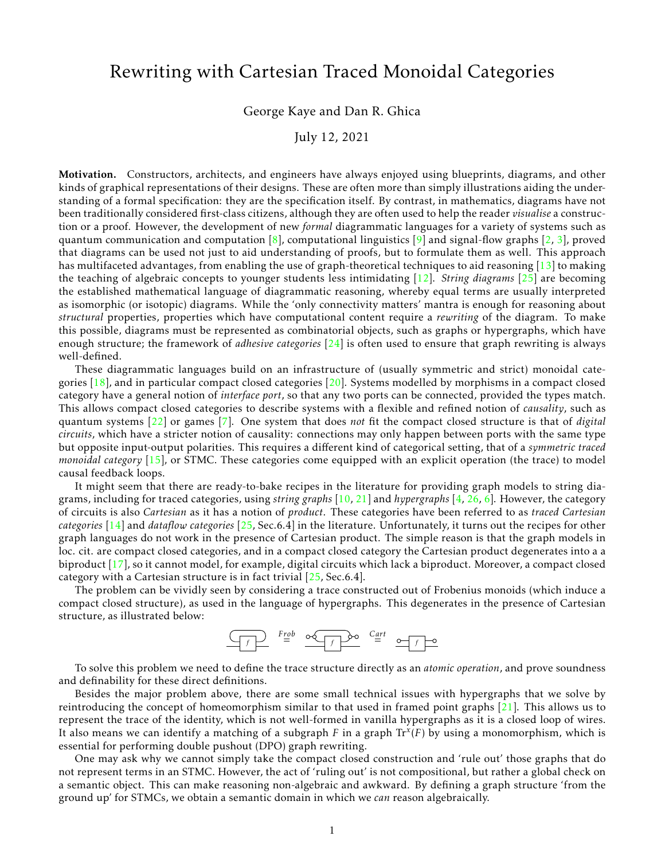## Rewriting with Cartesian Traced Monoidal Categories

## George Kaye and Dan R. Ghica

## July 12, 2021

Motivation. Constructors, architects, and engineers have always enjoyed using blueprints, diagrams, and other kinds of graphical representations of their designs. These are often more than simply illustrations aiding the understanding of a formal specification: they are the specification itself. By contrast, in mathematics, diagrams have not been traditionally considered first-class citizens, although they are often used to help the reader *visualise* a construction or a proof. However, the development of new *formal* diagrammatic languages for a variety of systems such as quantum communication and computation  $\{8\}$ , computational linguistics  $\{9\}$  and signal-flow graphs  $\{2, 3\}$ , proved that diagrams can be used not just to aid understanding of proofs, but to formulate them as well. This approach has multifaceted advantages, from enabling the use of graph-theoretical techniques to aid reasoning [\[13\]](#page-4-4) to making the teaching of algebraic concepts to younger students less intimidating [\[12\]](#page-4-5). *String diagrams* [\[25\]](#page-5-0) are becoming the established mathematical language of diagrammatic reasoning, whereby equal terms are usually interpreted as isomorphic (or isotopic) diagrams. While the 'only connectivity matters' mantra is enough for reasoning about *structural* properties, properties which have computational content require a *rewriting* of the diagram. To make this possible, diagrams must be represented as combinatorial objects, such as graphs or hypergraphs, which have enough structure; the framework of *adhesive categories* [\[24\]](#page-5-1) is often used to ensure that graph rewriting is always well-defined.

These diagrammatic languages build on an infrastructure of (usually symmetric and strict) monoidal categories  $[18]$ , and in particular compact closed categories  $[20]$ . Systems modelled by morphisms in a compact closed category have a general notion of *interface port*, so that any two ports can be connected, provided the types match. This allows compact closed categories to describe systems with a flexible and refined notion of *causality*, such as quantum systems [\[22\]](#page-5-3) or games [\[7\]](#page-4-7). One system that does *not* fit the compact closed structure is that of *digital circuits*, which have a stricter notion of causality: connections may only happen between ports with the same type but opposite input-output polarities. This requires a different kind of categorical setting, that of a *symmetric traced monoidal category* [\[15\]](#page-4-8), or STMC. These categories come equipped with an explicit operation (the trace) to model causal feedback loops.

It might seem that there are ready-to-bake recipes in the literature for providing graph models to string diagrams, including for traced categories, using *string graphs* [\[10,](#page-4-9) [21\]](#page-5-4) and *hypergraphs* [\[4,](#page-4-10) [26,](#page-5-5) [6\]](#page-4-11). However, the category of circuits is also *Cartesian* as it has a notion of *product*. These categories have been referred to as *traced Cartesian categories* [\[14\]](#page-4-12) and *dataflow categories* [\[25,](#page-5-0) Sec.6.4] in the literature. Unfortunately, it turns out the recipes for other graph languages do not work in the presence of Cartesian product. The simple reason is that the graph models in loc. cit. are compact closed categories, and in a compact closed category the Cartesian product degenerates into a a biproduct [\[17\]](#page-4-13), so it cannot model, for example, digital circuits which lack a biproduct. Moreover, a compact closed category with a Cartesian structure is in fact trivial [\[25,](#page-5-0) Sec.6.4].

The problem can be vividly seen by considering a trace constructed out of Frobenius monoids (which induce a compact closed structure), as used in the language of hypergraphs. This degenerates in the presence of Cartesian structure, as illustrated below:

$$
\underbrace{\frown f}_{f} \qquad \qquad \xrightarrow{Frob} \qquad \underbrace{\circ \circ \bullet \circ f}_{f} \qquad \underbrace{\circ \circ \circ \circ f}_{f} \qquad \underbrace{\circ \bullet \circ f}_{f} \qquad \underbrace{\circ \bullet \circ f}_{f} \qquad \qquad \xrightarrow{f} \qquad \xrightarrow{f} \qquad \xrightarrow{f} \qquad \xrightarrow{f} \qquad \xrightarrow{f} \qquad \xrightarrow{f} \qquad \xrightarrow{f} \qquad \xrightarrow{f} \qquad \xrightarrow{f} \qquad \xrightarrow{f} \qquad \xrightarrow{f} \qquad \xrightarrow{f} \qquad \xrightarrow{f} \qquad \xrightarrow{f} \qquad \xrightarrow{f} \qquad \xrightarrow{f} \qquad \xrightarrow{f} \qquad \xrightarrow{f} \qquad \xrightarrow{f} \qquad \xrightarrow{f} \qquad \xrightarrow{f} \qquad \xrightarrow{f} \qquad \xrightarrow{f} \qquad \xrightarrow{f} \qquad \xrightarrow{f} \qquad \xrightarrow{f} \qquad \xrightarrow{f} \qquad \xrightarrow{f} \qquad \xrightarrow{f} \qquad \xrightarrow{f} \qquad \xrightarrow{f} \qquad \xrightarrow{f} \qquad \xrightarrow{f} \qquad \xrightarrow{f} \qquad \xrightarrow{f} \qquad \xrightarrow{f} \qquad \xrightarrow{f} \qquad \xrightarrow{f} \qquad \xrightarrow{f} \qquad \xrightarrow{f} \qquad \xrightarrow{f} \qquad \xrightarrow{f} \qquad \xrightarrow{f} \qquad \xrightarrow{f} \qquad \xrightarrow{f} \qquad \xrightarrow{f} \qquad \xrightarrow{f} \qquad \xrightarrow{f} \qquad \xrightarrow{f} \qquad \xrightarrow{f} \qquad \xrightarrow{f} \qquad \xrightarrow{f} \qquad \xrightarrow{f} \qquad \xrightarrow{f} \qquad \xrightarrow{f} \qquad \xrightarrow{f} \qquad \xrightarrow{f} \qquad \xrightarrow{f} \qquad \xrightarrow{f} \qquad \xrightarrow{f} \qquad \xrightarrow{f} \qquad \xrightarrow{f} \qquad \xrightarrow{f} \qquad \xrightarrow{f} \qquad \xrightarrow{f} \qquad \xrightarrow{f} \qquad \xrightarrow{f} \qquad \xrightarrow{f} \qquad \xrightarrow{f} \qquad \xrightarrow{f} \qquad \xrightarrow{f} \qquad \xrightarrow{f} \qquad \xrightarrow{f} \qquad \xrightarrow{f}
$$

To solve this problem we need to define the trace structure directly as an *atomic operation*, and prove soundness and definability for these direct definitions.

Besides the major problem above, there are some small technical issues with hypergraphs that we solve by reintroducing the concept of homeomorphism similar to that used in framed point graphs [\[21\]](#page-5-4). This allows us to represent the trace of the identity, which is not well-formed in vanilla hypergraphs as it is a closed loop of wires. It also means we can identify a matching of a subgraph *F* in a graph Tr*<sup>x</sup>* (*F*) by using a monomorphism, which is essential for performing double pushout (DPO) graph rewriting.

One may ask why we cannot simply take the compact closed construction and 'rule out' those graphs that do not represent terms in an STMC. However, the act of 'ruling out' is not compositional, but rather a global check on a semantic object. This can make reasoning non-algebraic and awkward. By defining a graph structure 'from the ground up' for STMCs, we obtain a semantic domain in which we *can* reason algebraically.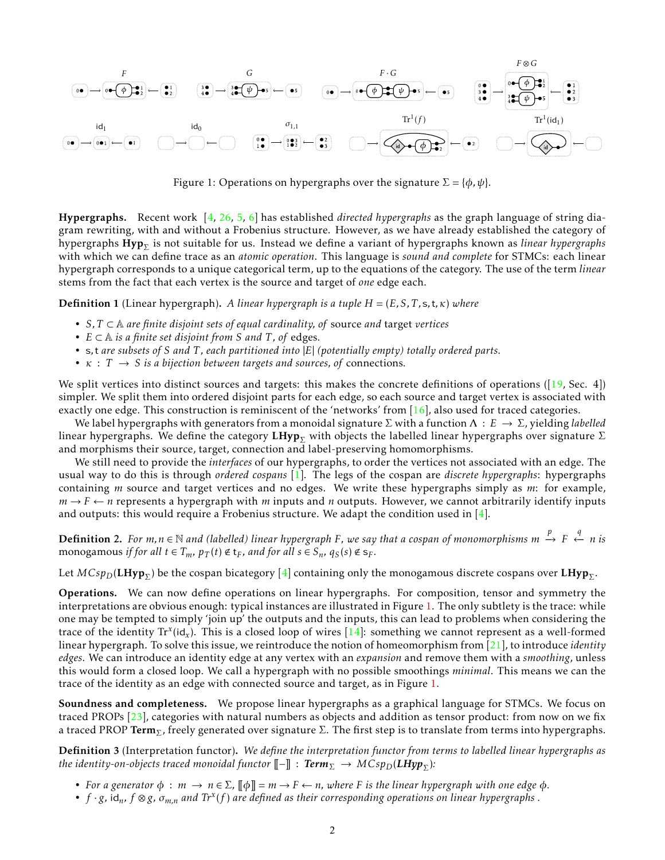

<span id="page-1-0"></span>Figure 1: Operations on hypergraphs over the signature  $\Sigma = {\phi, \psi}.$ 

Hypergraphs. Recent work [\[4,](#page-4-10) [26,](#page-5-5) [5,](#page-4-14) [6\]](#page-4-11) has established *directed hypergraphs* as the graph language of string diagram rewriting, with and without a Frobenius structure. However, as we have already established the category of hypergraphs  ${\rm Hyp}_{\Sigma}$  is not suitable for us. Instead we define a variant of hypergraphs known as *linear hypergraphs* with which we can define trace as an *atomic operation*. This language is *sound and complete* for STMCs: each linear hypergraph corresponds to a unique categorical term, up to the equations of the category. The use of the term *linear* stems from the fact that each vertex is the source and target of *one* edge each.

Definition 1 (Linear hypergraph). *A linear hypergraph is a tuple H* = (*E, S, T ,*s*,*t*,κ*) *where*

- *S, T* ⊂ A *are finite disjoint sets of equal cardinality, of* source *and* target *vertices*
- *E* ⊂ A *is a finite set disjoint from S and T , of* edges*.*
- s*,*t *are subsets of S and T , each partitioned into* |*E*| *(potentially empty) totally ordered parts.*
- $\kappa$  :  $T \rightarrow S$  *is a bijection between targets and sources, of connections.*

We split vertices into distinct sources and targets: this makes the concrete definitions of operations ( $[19, Sec. 4]$  $[19, Sec. 4]$ ) simpler. We split them into ordered disjoint parts for each edge, so each source and target vertex is associated with exactly one edge. This construction is reminiscent of the 'networks' from  $[16]$ , also used for traced categories.

We label hypergraphs with generators from a monoidal signature Σ with a function Λ : *E* → Σ, yielding *labelled* linear hypergraphs. We define the category LHyp<sub>Σ</sub> with objects the labelled linear hypergraphs over signature Σ and morphisms their source, target, connection and label-preserving homomorphisms.

We still need to provide the *interfaces* of our hypergraphs, to order the vertices not associated with an edge. The usual way to do this is through *ordered cospans* [\[1\]](#page-4-17). The legs of the cospan are *discrete hypergraphs*: hypergraphs containing *m* source and target vertices and no edges. We write these hypergraphs simply as *m*: for example,  $m \rightarrow F \leftarrow n$  represents a hypergraph with *m* inputs and *n* outputs. However, we cannot arbitrarily identify inputs and outputs: this would require a Frobenius structure. We adapt the condition used in  $[4]$ .

Definition 2. *For m,n* ∈ N *and (labelled) linear hypergraph F, we say that a cospan of monomorphisms m p* −→ *F q* ←− *n is* monogamous *if for all*  $t \in T_m$ *,*  $p_T(t) \notin t_F$ *, and for all*  $s \in S_n$ *,*  $q_S(s) \notin s_F$ *.* 

Let  $MCsp_D({\bf LHyp}_\Sigma)$  be the cospan bicategory [ $4$ ] containing only the monogamous discrete cospans over  ${\bf LHyp}_\Sigma.$ 

Operations. We can now define operations on linear hypergraphs. For composition, tensor and symmetry the interpretations are obvious enough: typical instances are illustrated in Figure [1.](#page-1-0) The only subtlety is the trace: while one may be tempted to simply 'join up' the outputs and the inputs, this can lead to problems when considering the trace of the identity Tr*<sup>x</sup>* (id*<sup>x</sup>* ). This is a closed loop of wires [\[14\]](#page-4-12): something we cannot represent as a well-formed linear hypergraph. To solve this issue, we reintroduce the notion of homeomorphism from [\[21\]](#page-5-4), to introduce *identity edges*. We can introduce an identity edge at any vertex with an *expansion* and remove them with a *smoothing*, unless this would form a closed loop. We call a hypergraph with no possible smoothings *minimal*. This means we can the trace of the identity as an edge with connected source and target, as in Figure [1.](#page-1-0)

Soundness and completeness. We propose linear hypergraphs as a graphical language for STMCs. We focus on traced PROPs [\[23\]](#page-5-6), categories with natural numbers as objects and addition as tensor product: from now on we fix a traced PROP Term<sub>Σ</sub>, freely generated over signature Σ. The first step is to translate from terms into hypergraphs.

Definition 3 (Interpretation functor). *We define the interpretation functor from terms to labelled linear hypergraphs as*  $t$ he identity-on-objects traced monoidal functor  $[\![-\!]$   $\colon$   ${\sf Term}_\Sigma \to {\cal M}$ Csp $_D({\bm{LHyp}}_\Sigma)$ :

- For a generator  $\phi : m \to n \in \Sigma$ ,  $\llbracket \phi \rrbracket = m \to F \leftarrow n$ , where F is the linear hypergraph with one edge  $\phi$ .
- *f* · *g,* id*n, f* ⊗*g, σm,n and Tr<sup>x</sup>* (*f* ) *are defined as their corresponding operations on linear hypergraphs .*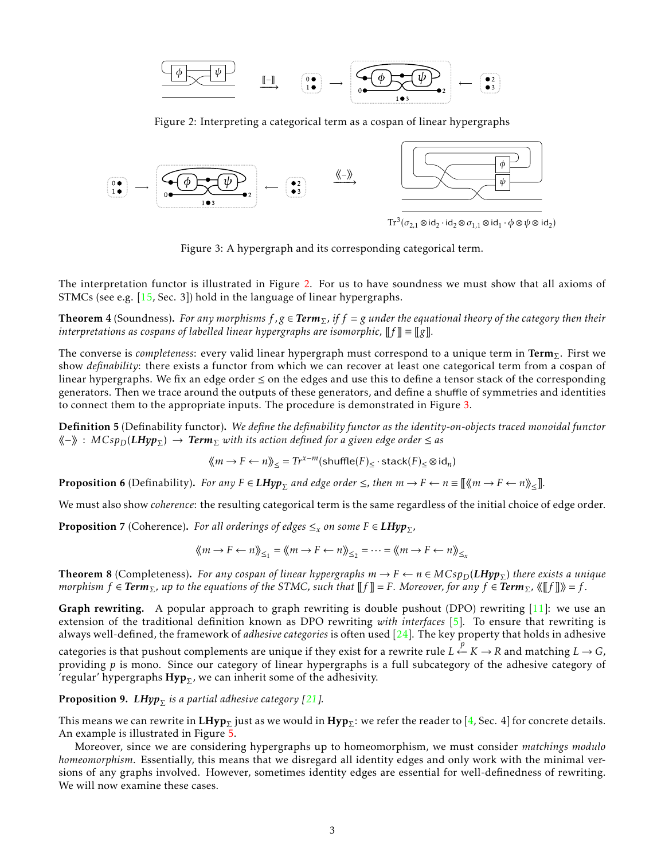*φ ψ* ~− −−−→

<span id="page-2-0"></span>Figure 2: Interpreting a categorical term as a cospan of linear hypergraphs



<span id="page-2-1"></span>Figure 3: A hypergraph and its corresponding categorical term.

The interpretation functor is illustrated in Figure [2.](#page-2-0) For us to have soundness we must show that all axioms of STMCs (see e.g. [\[15,](#page-4-8) Sec. 3]) hold in the language of linear hypergraphs.

**Theorem 4** (Soundness). *For any morphisms*  $f, g \in \text{Term}_\Sigma$ , if  $f = g$  *under the equational theory of the category then their interpretations as cospans of labelled linear hypergraphs are isomorphic,*  $\llbracket f \rrbracket = \llbracket g \rrbracket$ .

The converse is *completeness*: every valid linear hypergraph must correspond to a unique term in Term<sub>Σ</sub>. First we show *definability*: there exists a functor from which we can recover at least one categorical term from a cospan of linear hypergraphs. We fix an edge order ≤ on the edges and use this to define a tensor stack of the corresponding generators. Then we trace around the outputs of these generators, and define a shuffle of symmetries and identities to connect them to the appropriate inputs. The procedure is demonstrated in Figure [3.](#page-2-1)

Definition 5 (Definability functor). *We define the definability functor as the identity-on-objects traced monoidal functor* hh−ii : *MCspD*(*LHyp*<sup>Σ</sup> ) → *Term*<sup>Σ</sup> *with its action defined for a given edge order* ≤ *as*

$$
\langle\!\langle m \rightarrow F \leftarrow n \rangle\!\rangle_{\leq} = Tr^{x-m}(\text{shuffle}(F)_{\leq} \cdot \text{stack}(F)_{\leq} \otimes id_n)
$$

**Proposition 6** (Definability). *For any*  $F \in LHyp_{\Sigma}$  and edge order  $\leq$ , then  $m \to F \leftarrow n \equiv [\&\langle m \to F \leftarrow n \rangle_{\leq}].$ 

We must also show *coherence*: the resulting categorical term is the same regardless of the initial choice of edge order.

**Proposition** 7 (Coherence). *For all orderings of edges*  $\leq_x$  *on some*  $F \in LHyp_{\Sigma}$ *,* 

$$
\langle\!\langle m \rightarrow F \leftarrow n \rangle\!\rangle_{\leq_1} = \langle\!\langle m \rightarrow F \leftarrow n \rangle\!\rangle_{\leq_2} = \cdots = \langle\!\langle m \rightarrow F \leftarrow n \rangle\!\rangle_{\leq_x}
$$

**Theorem 8** (Completeness). *For any cospan of linear hypergraphs*  $m \to F \leftarrow n \in MCsp_D(LHyp_\Sigma)$  *there exists a unique morphism*  $f \in \text{Term}_{\Sigma}$ , up to the equations of the STMC, such that  $||f|| = F$ . Moreover, for any  $f \in \text{Term}_{\Sigma}$ ,  $\langle \Vert f \Vert \rangle = f$ .

Graph rewriting. A popular approach to graph rewriting is double pushout (DPO) rewriting [\[11\]](#page-4-18): we use an extension of the traditional definition known as DPO rewriting *with interfaces* [\[5\]](#page-4-14). To ensure that rewriting is always well-defined, the framework of *adhesive categories* is often used [\[24\]](#page-5-1). The key property that holds in adhesive

 $\rho$  categories is that pushout complements are unique if they exist for a rewrite rule  $L \xleftarrow{p} K → R$  and matching  $L → G$ , providing *p* is mono. Since our category of linear hypergraphs is a full subcategory of the adhesive category of 'regular' hypergraphs  $\mathbf{Hyp}_{\Sigma}$ , we can inherit some of the adhesivity.

**Proposition 9.**  $LHyp_\Sigma$ *is a partial adhesive category [\[21\]](#page-5-4).* 

This means we can rewrite in  $\mathbf{LHyp}_\Sigma$  just as we would in  $\mathbf{Hyp}_\Sigma:$  we refer the reader to [\[4,](#page-4-10) Sec. 4] for concrete details. An example is illustrated in Figure [5.](#page-3-0)

Moreover, since we are considering hypergraphs up to homeomorphism, we must consider *matchings modulo homeomorphism*. Essentially, this means that we disregard all identity edges and only work with the minimal versions of any graphs involved. However, sometimes identity edges are essential for well-definedness of rewriting. We will now examine these cases.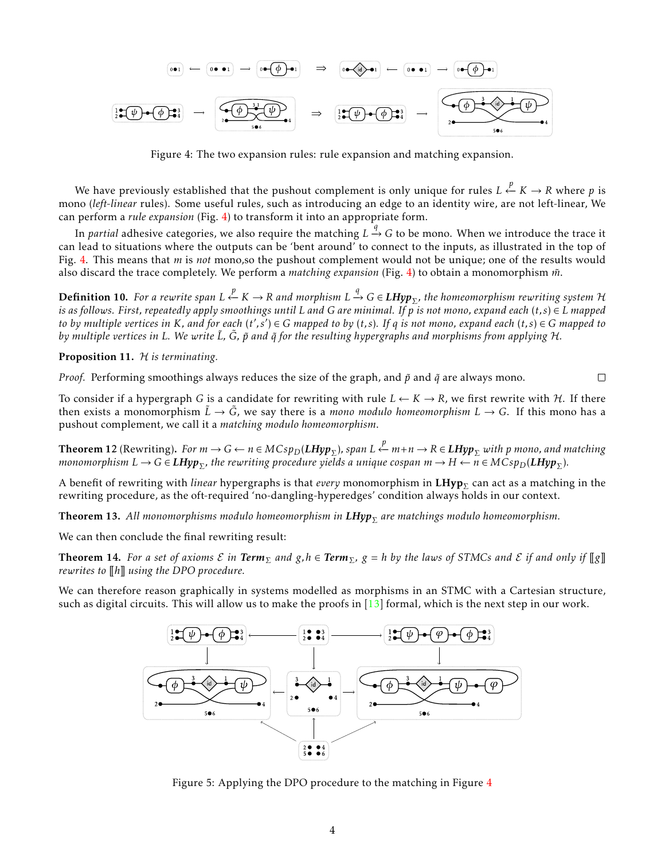

<span id="page-3-1"></span>Figure 4: The two expansion rules: rule expansion and matching expansion.

We have previously established that the pushout complement is only unique for rules *L* ← *K* → *R* where *p* is mono (*left-linear* rules). Some useful rules, such as introducing an edge to an identity wire, are not left-linear, We can perform a *rule expansion* (Fig. [4\)](#page-3-1) to transform it into an appropriate form.

In *partial* adhesive categories, we also require the matching *L* → *G* to be mono. When we introduce the trace it can lead to situations where the outputs can be 'bent around' to connect to the inputs, as illustrated in the top of Fig. [4.](#page-3-1) This means that *m* is *not* mono,so the pushout complement would not be unique; one of the results would also discard the trace completely. We perform a *matching expansion* (Fig. [4\)](#page-3-1) to obtain a monomorphism *m*˜.

 $D$ efinition 10. *For a rewrite span L* ← *K* → *R and morphism L* → *G* ∈ LHyp<sub>Σ</sub>, the homeomorphism rewriting system H *is as follows. First, repeatedly apply smoothings until L and G are minimal. If p is not mono, expand each* (*t, s*) ∈ *L mapped* to by multiple vertices in K, and for each  $(t', s') \in G$  mapped to by  $(t, s)$ . If q is not mono, expand each  $(t, s) \in G$  mapped to *by multiple vertices in L.* We write  $\tilde{L}$ ,  $\tilde{G}$ ,  $\tilde{p}$  and  $\tilde{q}$  for the resulting hypergraphs and morphisms from applying H.

Proposition 11. H *is terminating.*

*Proof.* Performing smoothings always reduces the size of the graph, and  $\tilde{p}$  and  $\tilde{q}$  are always mono.

 $\Box$ 

To consider if a hypergraph *G* is a candidate for rewriting with rule  $L \leftarrow K \rightarrow R$ , we first rewrite with *H*. If there then exists a monomorphism  $\tilde{L} \to \tilde{G}$ , we say there is a *mono modulo homeomorphism*  $L \to G$ . If this mono has a pushout complement, we call it a *matching modulo homeomorphism*.

**Theorem 12** (Rewriting). For  $m \to G \leftarrow n \in M Csp_D(LHyp_{\Sigma})$ , span  $L \xleftarrow{p} m+n \to R \in LHyp_{\Sigma}$  with p mono, and matching  $m$ onomorphism  $L \to G$   $\in$   $LHyp_{\Sigma}$ , the rewriting procedure yields a unique cospan  $m \to H \leftarrow n \in MCsp_D(LHyp_{\Sigma})$ .

A benefit of rewriting with *linear* hypergraphs is that *every* monomorphism in **LHyp**<sub>∑</sub> can act as a matching in the rewriting procedure, as the oft-required 'no-dangling-hyperedges' condition always holds in our context.

**Theorem 13.** All monomorphisms modulo homeomorphism in  $LHyp_\Sigma$  are matchings modulo homeomorphism.

We can then conclude the final rewriting result:

**Theorem 14.** For a set of axioms  $E$  in **Term**<sub> $\Sigma$ </sub> and  $g, h \in \text{Term}_{\Sigma}$ ,  $g = h$  by the laws of STMCs and  $E$  if and only if  $||g||$ *rewrites to*  $\llbracket h \rrbracket$  *using the DPO procedure.* 

We can therefore reason graphically in systems modelled as morphisms in an STMC with a Cartesian structure, such as digital circuits. This will allow us to make the proofs in  $[13]$  formal, which is the next step in our work.



<span id="page-3-0"></span>Figure 5: Applying the DPO procedure to the matching in Figure [4](#page-3-1)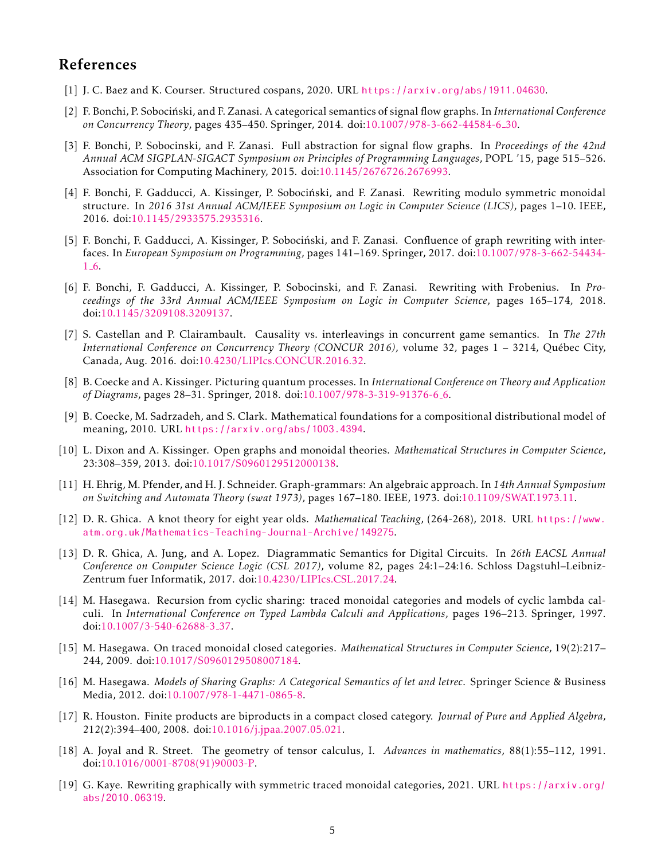## References

- <span id="page-4-17"></span>[1] J. C. Baez and K. Courser. Structured cospans, 2020. URL <https://arxiv.org/abs/1911.04630>.
- <span id="page-4-2"></span>[2] F. Bonchi, P. Sobocinski, and F. Zanasi. A categorical semantics of signal flow graphs. In ´ *International Conference on Concurrency Theory*, pages 435–450. Springer, 2014. doi[:10.1007/978-3-662-44584-6](https://doi.org/10.1007/978-3-662-44584-6_30) 30.
- <span id="page-4-3"></span>[3] F. Bonchi, P. Sobocinski, and F. Zanasi. Full abstraction for signal flow graphs. In *Proceedings of the 42nd Annual ACM SIGPLAN-SIGACT Symposium on Principles of Programming Languages*, POPL '15, page 515–526. Association for Computing Machinery, 2015. doi[:10.1145/2676726.2676993.](https://doi.org/10.1145/2676726.2676993)
- <span id="page-4-10"></span>[4] F. Bonchi, F. Gadducci, A. Kissinger, P. Sobocinski, and F. Zanasi. Rewriting modulo symmetric monoidal ´ structure. In *2016 31st Annual ACM/IEEE Symposium on Logic in Computer Science (LICS)*, pages 1–10. IEEE, 2016. doi[:10.1145/2933575.2935316.](https://doi.org/10.1145/2933575.2935316)
- <span id="page-4-14"></span>[5] F. Bonchi, F. Gadducci, A. Kissinger, P. Sobocinski, and F. Zanasi. Confluence of graph rewriting with inter- ´ faces. In *European Symposium on Programming*, pages 141–169. Springer, 2017. doi[:10.1007/978-3-662-54434-](https://doi.org/10.1007/978-3-662-54434-1_6)  $1 - 6.$  $1 - 6.$
- <span id="page-4-11"></span>[6] F. Bonchi, F. Gadducci, A. Kissinger, P. Sobocinski, and F. Zanasi. Rewriting with Frobenius. In *Proceedings of the 33rd Annual ACM/IEEE Symposium on Logic in Computer Science*, pages 165–174, 2018. doi[:10.1145/3209108.3209137.](https://doi.org/10.1145/3209108.3209137)
- <span id="page-4-7"></span>[7] S. Castellan and P. Clairambault. Causality vs. interleavings in concurrent game semantics. In *The 27th International Conference on Concurrency Theory (CONCUR 2016)*, volume 32, pages 1 – 3214, Quebec City, ´ Canada, Aug. 2016. doi[:10.4230/LIPIcs.CONCUR.2016.32.](https://doi.org/10.4230/LIPIcs.CONCUR.2016.32)
- <span id="page-4-0"></span>[8] B. Coecke and A. Kissinger. Picturing quantum processes. In *International Conference on Theory and Application of Diagrams*, pages 28–31. Springer, 2018. doi[:10.1007/978-3-319-91376-6](https://doi.org/10.1007/978-3-319-91376-6_6) 6.
- <span id="page-4-1"></span>[9] B. Coecke, M. Sadrzadeh, and S. Clark. Mathematical foundations for a compositional distributional model of meaning, 2010. URL <https://arxiv.org/abs/1003.4394>.
- <span id="page-4-9"></span>[10] L. Dixon and A. Kissinger. Open graphs and monoidal theories. *Mathematical Structures in Computer Science*, 23:308–359, 2013. doi[:10.1017/S0960129512000138.](https://doi.org/10.1017/S0960129512000138)
- <span id="page-4-18"></span>[11] H. Ehrig, M. Pfender, and H. J. Schneider. Graph-grammars: An algebraic approach. In *14th Annual Symposium on Switching and Automata Theory (swat 1973)*, pages 167–180. IEEE, 1973. doi[:10.1109/SWAT.1973.11.](https://doi.org/10.1109/SWAT.1973.11)
- <span id="page-4-5"></span>[12] D. R. Ghica. A knot theory for eight year olds. *Mathematical Teaching*, (264-268), 2018. URL [https://www.](https://www.atm.org.uk/Mathematics-Teaching-Journal-Archive/149275) [atm.org.uk/Mathematics-Teaching-Journal-Archive/149275](https://www.atm.org.uk/Mathematics-Teaching-Journal-Archive/149275).
- <span id="page-4-4"></span>[13] D. R. Ghica, A. Jung, and A. Lopez. Diagrammatic Semantics for Digital Circuits. In *26th EACSL Annual Conference on Computer Science Logic (CSL 2017)*, volume 82, pages 24:1–24:16. Schloss Dagstuhl–Leibniz-Zentrum fuer Informatik, 2017. doi[:10.4230/LIPIcs.CSL.2017.24.](https://doi.org/10.4230/LIPIcs.CSL.2017.24)
- <span id="page-4-12"></span>[14] M. Hasegawa. Recursion from cyclic sharing: traced monoidal categories and models of cyclic lambda calculi. In *International Conference on Typed Lambda Calculi and Applications*, pages 196–213. Springer, 1997. doi[:10.1007/3-540-62688-3](https://doi.org/10.1007/3-540-62688-3_37) 37.
- <span id="page-4-8"></span>[15] M. Hasegawa. On traced monoidal closed categories. *Mathematical Structures in Computer Science*, 19(2):217– 244, 2009. doi[:10.1017/S0960129508007184.](https://doi.org/10.1017/S0960129508007184)
- <span id="page-4-16"></span>[16] M. Hasegawa. *Models of Sharing Graphs: A Categorical Semantics of let and letrec*. Springer Science & Business Media, 2012. doi[:10.1007/978-1-4471-0865-8.](https://doi.org/10.1007/978-1-4471-0865-8)
- <span id="page-4-13"></span>[17] R. Houston. Finite products are biproducts in a compact closed category. *Journal of Pure and Applied Algebra*, 212(2):394–400, 2008. doi[:10.1016/j.jpaa.2007.05.021.](https://doi.org/10.1016/j.jpaa.2007.05.021)
- <span id="page-4-6"></span>[18] A. Joyal and R. Street. The geometry of tensor calculus, I. *Advances in mathematics*, 88(1):55–112, 1991. doi[:10.1016/0001-8708\(91\)90003-P.](https://doi.org/10.1016/0001-8708(91)90003-P)
- <span id="page-4-15"></span>[19] G. Kaye. Rewriting graphically with symmetric traced monoidal categories, 2021. URL [https://arxiv.org/](https://arxiv.org/abs/2010.06319) [abs/2010.06319](https://arxiv.org/abs/2010.06319).